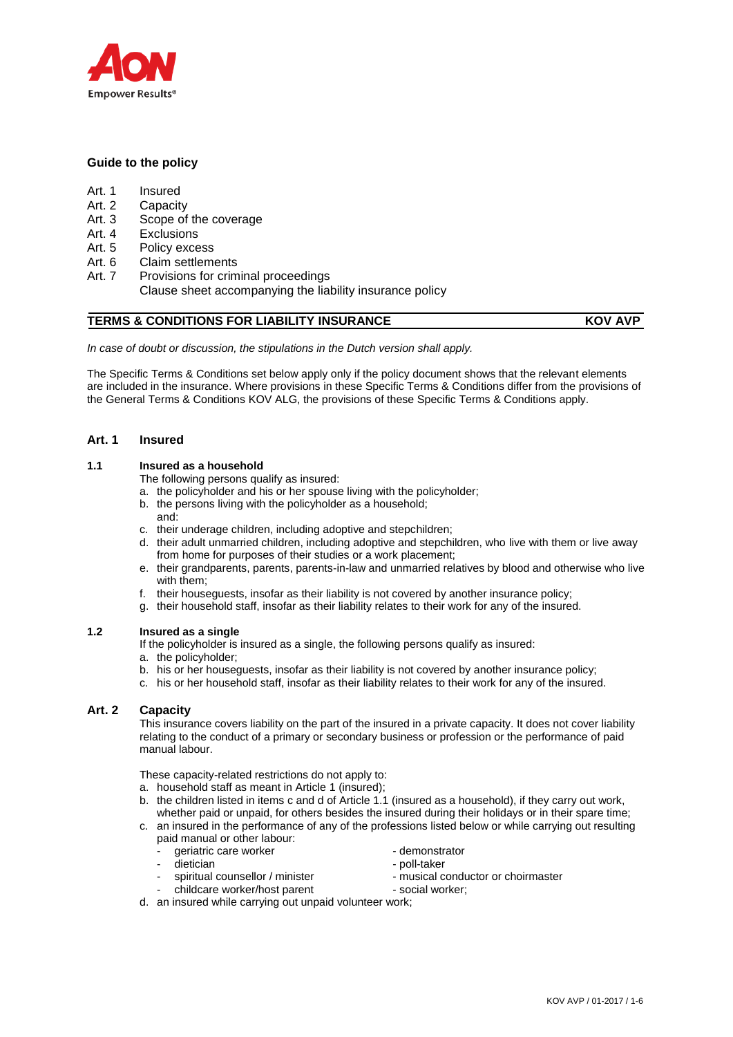

# **Guide to the policy**

- Art. 1 Insured
- Art. 2 Capacity
- Art. 3 Scope of the coverage
- Art. 4 Exclusions
- Art. 5 Policy excess
- Art. 6 Claim settlements
- Art. 7 Provisions for criminal proceedings Clause sheet accompanying the liability insurance policy

# **TERMS & CONDITIONS FOR LIABILITY INSURANCE KOV AVP**

*In case of doubt or discussion, the stipulations in the Dutch version shall apply.*

The Specific Terms & Conditions set below apply only if the policy document shows that the relevant elements are included in the insurance. Where provisions in these Specific Terms & Conditions differ from the provisions of the General Terms & Conditions KOV ALG, the provisions of these Specific Terms & Conditions apply.

# **Art. 1 Insured**

# **1.1 Insured as a household**

The following persons qualify as insured:

- a. the policyholder and his or her spouse living with the policyholder;
- b. the persons living with the policyholder as a household;
- and:
- c. their underage children, including adoptive and stepchildren;
- d. their adult unmarried children, including adoptive and stepchildren, who live with them or live away from home for purposes of their studies or a work placement;
- e. their grandparents, parents, parents-in-law and unmarried relatives by blood and otherwise who live with them;
- f. their houseguests, insofar as their liability is not covered by another insurance policy;
- g. their household staff, insofar as their liability relates to their work for any of the insured.

# **1.2 Insured as a single**

- If the policyholder is insured as a single, the following persons qualify as insured:
- a. the policyholder;
- b. his or her houseguests, insofar as their liability is not covered by another insurance policy;
- c. his or her household staff, insofar as their liability relates to their work for any of the insured.

# **Art. 2 Capacity**

This insurance covers liability on the part of the insured in a private capacity. It does not cover liability relating to the conduct of a primary or secondary business or profession or the performance of paid manual labour.

These capacity-related restrictions do not apply to:

- a. household staff as meant in Article 1 (insured);
- b. the children listed in items c and d of Article 1.1 (insured as a household), if they carry out work, whether paid or unpaid, for others besides the insured during their holidays or in their spare time;
- c. an insured in the performance of any of the professions listed below or while carrying out resulting paid manual or other labour:
	- qeriatric care worker example that the demonstrator
	-
	-
	- childcare worker/host parent social worker;
- 
- dietician poll-taker
- spiritual counsellor / minister musical conductor or choirmaster
	-
- d. an insured while carrying out unpaid volunteer work;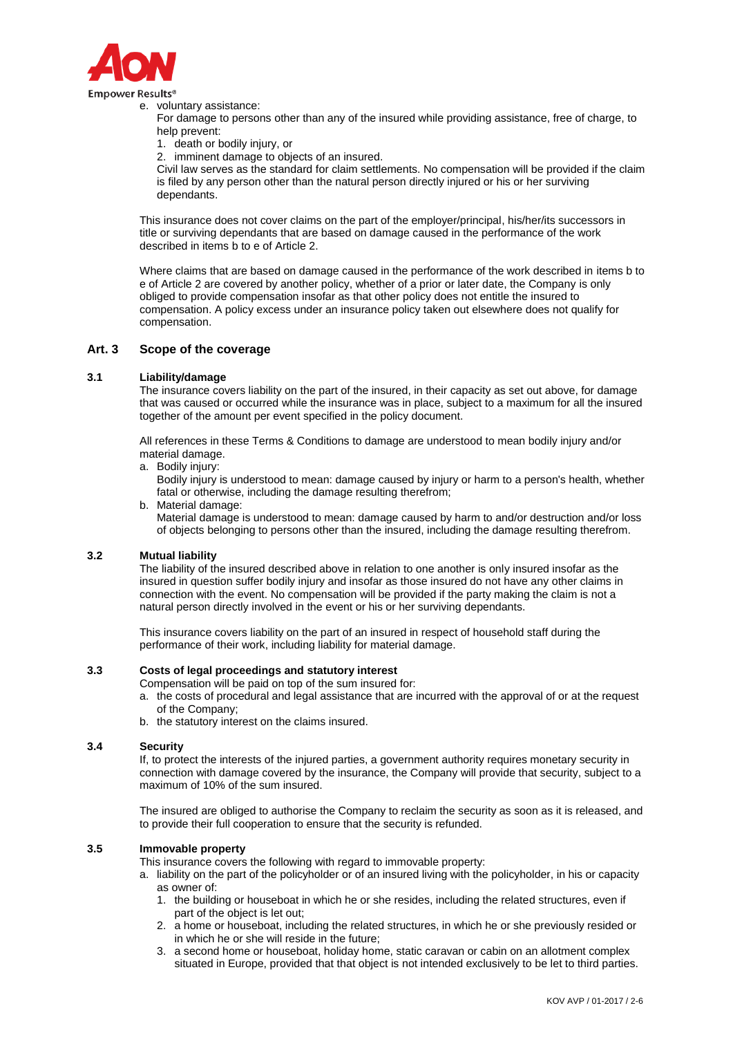

e. voluntary assistance:

For damage to persons other than any of the insured while providing assistance, free of charge, to help prevent:

1. death or bodily injury, or

2. imminent damage to objects of an insured.

Civil law serves as the standard for claim settlements. No compensation will be provided if the claim is filed by any person other than the natural person directly injured or his or her surviving dependants.

This insurance does not cover claims on the part of the employer/principal, his/her/its successors in title or surviving dependants that are based on damage caused in the performance of the work described in items b to e of Article 2.

Where claims that are based on damage caused in the performance of the work described in items b to e of Article 2 are covered by another policy, whether of a prior or later date, the Company is only obliged to provide compensation insofar as that other policy does not entitle the insured to compensation. A policy excess under an insurance policy taken out elsewhere does not qualify for compensation.

# **Art. 3 Scope of the coverage**

## **3.1 Liability/damage**

The insurance covers liability on the part of the insured, in their capacity as set out above, for damage that was caused or occurred while the insurance was in place, subject to a maximum for all the insured together of the amount per event specified in the policy document.

All references in these Terms & Conditions to damage are understood to mean bodily injury and/or material damage.

a. Bodily injury:

Bodily injury is understood to mean: damage caused by injury or harm to a person's health, whether fatal or otherwise, including the damage resulting therefrom;

b. Material damage:

Material damage is understood to mean: damage caused by harm to and/or destruction and/or loss of objects belonging to persons other than the insured, including the damage resulting therefrom.

## **3.2 Mutual liability**

The liability of the insured described above in relation to one another is only insured insofar as the insured in question suffer bodily injury and insofar as those insured do not have any other claims in connection with the event. No compensation will be provided if the party making the claim is not a natural person directly involved in the event or his or her surviving dependants.

This insurance covers liability on the part of an insured in respect of household staff during the performance of their work, including liability for material damage.

## **3.3 Costs of legal proceedings and statutory interest**

- Compensation will be paid on top of the sum insured for:
	- a. the costs of procedural and legal assistance that are incurred with the approval of or at the request of the Company;
	- b. the statutory interest on the claims insured.

#### **3.4 Security**

If, to protect the interests of the injured parties, a government authority requires monetary security in connection with damage covered by the insurance, the Company will provide that security, subject to a maximum of 10% of the sum insured.

The insured are obliged to authorise the Company to reclaim the security as soon as it is released, and to provide their full cooperation to ensure that the security is refunded.

## **3.5 Immovable property**

This insurance covers the following with regard to immovable property:

- a. liability on the part of the policyholder or of an insured living with the policyholder, in his or capacity as owner of:
	- 1. the building or houseboat in which he or she resides, including the related structures, even if part of the object is let out;
	- 2. a home or houseboat, including the related structures, in which he or she previously resided or in which he or she will reside in the future;
	- 3. a second home or houseboat, holiday home, static caravan or cabin on an allotment complex situated in Europe, provided that that object is not intended exclusively to be let to third parties.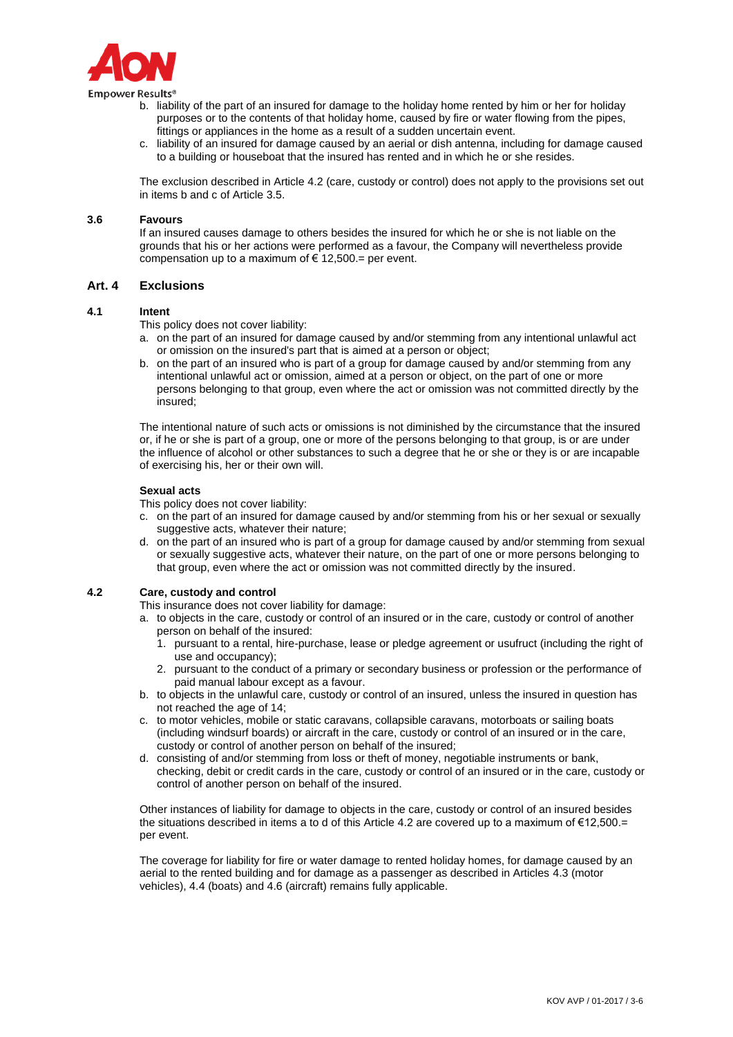

Empower Results®

- b. liability of the part of an insured for damage to the holiday home rented by him or her for holiday purposes or to the contents of that holiday home, caused by fire or water flowing from the pipes, fittings or appliances in the home as a result of a sudden uncertain event.
- c. liability of an insured for damage caused by an aerial or dish antenna, including for damage caused to a building or houseboat that the insured has rented and in which he or she resides.

The exclusion described in Article 4.2 (care, custody or control) does not apply to the provisions set out in items b and c of Article 3.5.

#### **3.6 Favours**

If an insured causes damage to others besides the insured for which he or she is not liable on the grounds that his or her actions were performed as a favour, the Company will nevertheless provide compensation up to a maximum of  $\epsilon$  12,500.= per event.

# **Art. 4 Exclusions**

#### **4.1 Intent**

This policy does not cover liability:

- a. on the part of an insured for damage caused by and/or stemming from any intentional unlawful act or omission on the insured's part that is aimed at a person or object;
- b. on the part of an insured who is part of a group for damage caused by and/or stemming from any intentional unlawful act or omission, aimed at a person or object, on the part of one or more persons belonging to that group, even where the act or omission was not committed directly by the insured;

The intentional nature of such acts or omissions is not diminished by the circumstance that the insured or, if he or she is part of a group, one or more of the persons belonging to that group, is or are under the influence of alcohol or other substances to such a degree that he or she or they is or are incapable of exercising his, her or their own will.

#### **Sexual acts**

This policy does not cover liability:

- c. on the part of an insured for damage caused by and/or stemming from his or her sexual or sexually suggestive acts, whatever their nature;
- d. on the part of an insured who is part of a group for damage caused by and/or stemming from sexual or sexually suggestive acts, whatever their nature, on the part of one or more persons belonging to that group, even where the act or omission was not committed directly by the insured.

## **4.2 Care, custody and control**

This insurance does not cover liability for damage:

- a. to objects in the care, custody or control of an insured or in the care, custody or control of another person on behalf of the insured:
	- 1. pursuant to a rental, hire-purchase, lease or pledge agreement or usufruct (including the right of use and occupancy);
	- 2. pursuant to the conduct of a primary or secondary business or profession or the performance of paid manual labour except as a favour.
- b. to objects in the unlawful care, custody or control of an insured, unless the insured in question has not reached the age of 14;
- c. to motor vehicles, mobile or static caravans, collapsible caravans, motorboats or sailing boats (including windsurf boards) or aircraft in the care, custody or control of an insured or in the care, custody or control of another person on behalf of the insured;
- d. consisting of and/or stemming from loss or theft of money, negotiable instruments or bank, checking, debit or credit cards in the care, custody or control of an insured or in the care, custody or control of another person on behalf of the insured.

Other instances of liability for damage to objects in the care, custody or control of an insured besides the situations described in items a to d of this Article 4.2 are covered up to a maximum of  $\epsilon$ 12,500.= per event.

The coverage for liability for fire or water damage to rented holiday homes, for damage caused by an aerial to the rented building and for damage as a passenger as described in Articles 4.3 (motor vehicles), 4.4 (boats) and 4.6 (aircraft) remains fully applicable.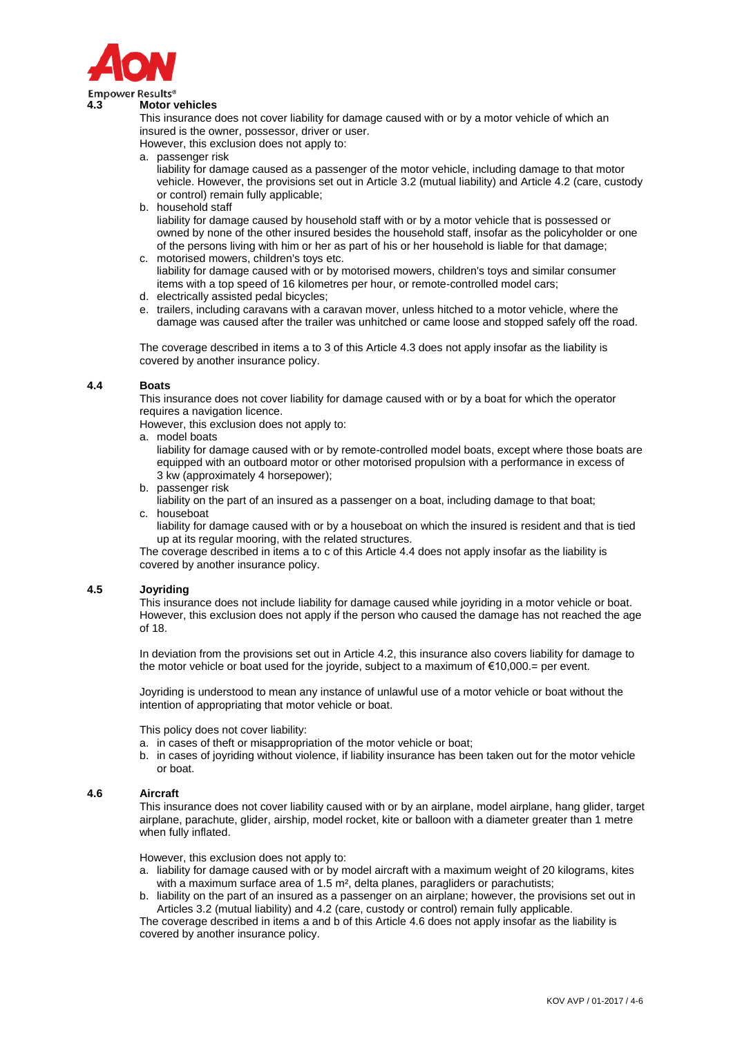

## **4.3 Motor vehicles**

This insurance does not cover liability for damage caused with or by a motor vehicle of which an insured is the owner, possessor, driver or user.

However, this exclusion does not apply to:

a. passenger risk

liability for damage caused as a passenger of the motor vehicle, including damage to that motor vehicle. However, the provisions set out in Article 3.2 (mutual liability) and Article 4.2 (care, custody or control) remain fully applicable;

b. household staff

liability for damage caused by household staff with or by a motor vehicle that is possessed or owned by none of the other insured besides the household staff, insofar as the policyholder or one of the persons living with him or her as part of his or her household is liable for that damage;

- c. motorised mowers, children's toys etc.
- liability for damage caused with or by motorised mowers, children's toys and similar consumer items with a top speed of 16 kilometres per hour, or remote-controlled model cars;
- d. electrically assisted pedal bicycles;
- e. trailers, including caravans with a caravan mover, unless hitched to a motor vehicle, where the damage was caused after the trailer was unhitched or came loose and stopped safely off the road.

The coverage described in items a to 3 of this Article 4.3 does not apply insofar as the liability is covered by another insurance policy.

## **4.4 Boats**

This insurance does not cover liability for damage caused with or by a boat for which the operator requires a navigation licence.

However, this exclusion does not apply to:

a. model boats

liability for damage caused with or by remote-controlled model boats, except where those boats are equipped with an outboard motor or other motorised propulsion with a performance in excess of 3 kw (approximately 4 horsepower);

- b. passenger risk
- liability on the part of an insured as a passenger on a boat, including damage to that boat; c. houseboat
	- liability for damage caused with or by a houseboat on which the insured is resident and that is tied up at its regular mooring, with the related structures.

The coverage described in items a to c of this Article 4.4 does not apply insofar as the liability is covered by another insurance policy.

# **4.5 Joyriding**

This insurance does not include liability for damage caused while joyriding in a motor vehicle or boat. However, this exclusion does not apply if the person who caused the damage has not reached the age of 18.

In deviation from the provisions set out in Article 4.2, this insurance also covers liability for damage to the motor vehicle or boat used for the joyride, subject to a maximum of €10,000.= per event.

Joyriding is understood to mean any instance of unlawful use of a motor vehicle or boat without the intention of appropriating that motor vehicle or boat.

This policy does not cover liability:

- a. in cases of theft or misappropriation of the motor vehicle or boat;
- b. in cases of joyriding without violence, if liability insurance has been taken out for the motor vehicle or boat.

## **4.6 Aircraft**

This insurance does not cover liability caused with or by an airplane, model airplane, hang glider, target airplane, parachute, glider, airship, model rocket, kite or balloon with a diameter greater than 1 metre when fully inflated.

However, this exclusion does not apply to:

- a. liability for damage caused with or by model aircraft with a maximum weight of 20 kilograms, kites with a maximum surface area of 1.5 m<sup>2</sup>, delta planes, paragliders or parachutists;
- b. liability on the part of an insured as a passenger on an airplane; however, the provisions set out in Articles 3.2 (mutual liability) and 4.2 (care, custody or control) remain fully applicable.

The coverage described in items a and b of this Article 4.6 does not apply insofar as the liability is covered by another insurance policy.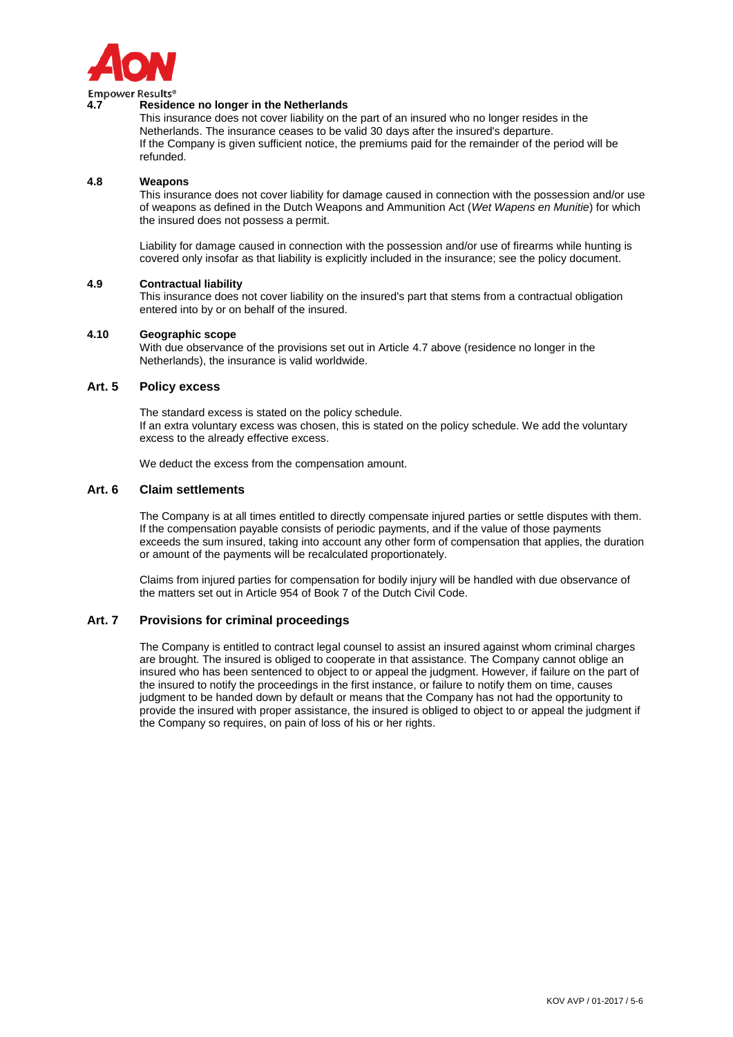

## **4.7 Residence no longer in the Netherlands**

This insurance does not cover liability on the part of an insured who no longer resides in the Netherlands. The insurance ceases to be valid 30 days after the insured's departure. If the Company is given sufficient notice, the premiums paid for the remainder of the period will be refunded.

## **4.8 Weapons**

This insurance does not cover liability for damage caused in connection with the possession and/or use of weapons as defined in the Dutch Weapons and Ammunition Act (*Wet Wapens en Munitie*) for which the insured does not possess a permit.

Liability for damage caused in connection with the possession and/or use of firearms while hunting is covered only insofar as that liability is explicitly included in the insurance; see the policy document.

## **4.9 Contractual liability**

This insurance does not cover liability on the insured's part that stems from a contractual obligation entered into by or on behalf of the insured.

## **4.10 Geographic scope**

With due observance of the provisions set out in Article 4.7 above (residence no longer in the Netherlands), the insurance is valid worldwide.

# **Art. 5 Policy excess**

The standard excess is stated on the policy schedule. If an extra voluntary excess was chosen, this is stated on the policy schedule. We add the voluntary excess to the already effective excess.

We deduct the excess from the compensation amount.

# **Art. 6 Claim settlements**

The Company is at all times entitled to directly compensate injured parties or settle disputes with them. If the compensation payable consists of periodic payments, and if the value of those payments exceeds the sum insured, taking into account any other form of compensation that applies, the duration or amount of the payments will be recalculated proportionately.

Claims from injured parties for compensation for bodily injury will be handled with due observance of the matters set out in Article 954 of Book 7 of the Dutch Civil Code.

# **Art. 7 Provisions for criminal proceedings**

The Company is entitled to contract legal counsel to assist an insured against whom criminal charges are brought. The insured is obliged to cooperate in that assistance. The Company cannot oblige an insured who has been sentenced to object to or appeal the judgment. However, if failure on the part of the insured to notify the proceedings in the first instance, or failure to notify them on time, causes judgment to be handed down by default or means that the Company has not had the opportunity to provide the insured with proper assistance, the insured is obliged to object to or appeal the judgment if the Company so requires, on pain of loss of his or her rights.